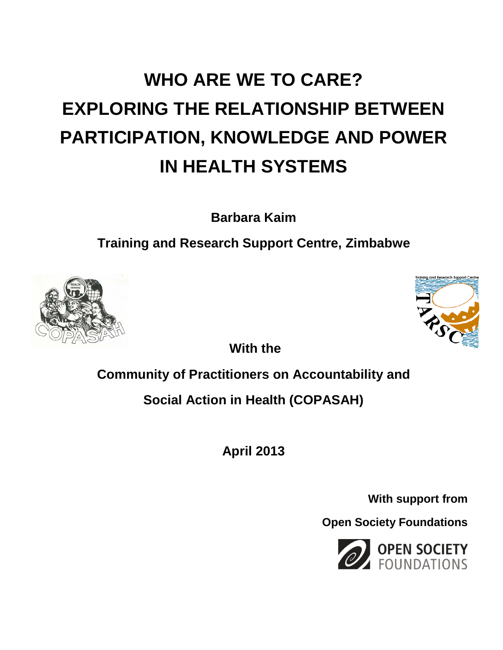# **WHO ARE WE TO CARE? EXPLORING THE RELATIONSHIP BETWEEN PARTICIPATION, KNOWLEDGE AND POWER IN HEALTH SYSTEMS**

**Barbara Kaim**

**Training and Research Support Centre, Zimbabwe**



**With the**

# **Community of Practitioners on Accountability and**

**Social Action in Health (COPASAH)**

**April 2013**

**With support from**

**Open Society Foundations**

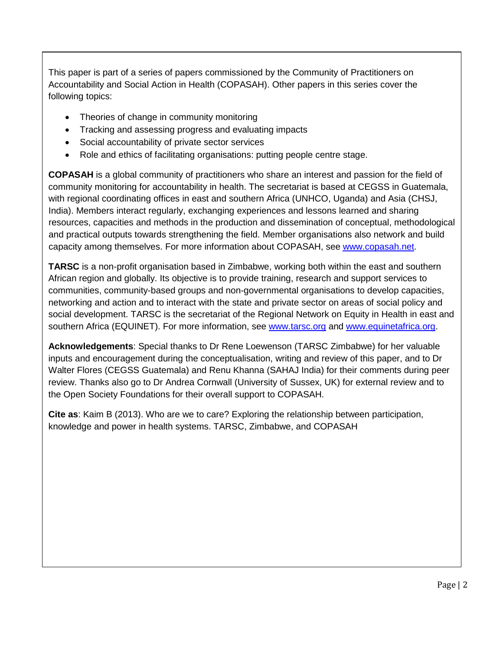This paper is part of a series of papers commissioned by the Community of Practitioners on Accountability and Social Action in Health (COPASAH). Other papers in this series cover the following topics:

- Theories of change in community monitoring
- Tracking and assessing progress and evaluating impacts
- Social accountability of private sector services
- Role and ethics of facilitating organisations: putting people centre stage.

**COPASAH** is a global community of practitioners who share an interest and passion for the field of community monitoring for accountability in health. The secretariat is based at CEGSS in Guatemala, with regional coordinating offices in east and southern Africa (UNHCO, Uganda) and Asia (CHSJ, India). Members interact regularly, exchanging experiences and lessons learned and sharing resources, capacities and methods in the production and dissemination of conceptual, methodological and practical outputs towards strengthening the field. Member organisations also network and build capacity among themselves. For more information about COPASAH, see [www.copasah.net.](http://www.copasah.net/)

**TARSC** is a non-profit organisation based in Zimbabwe, working both within the east and southern African region and globally. Its objective is to provide training, research and support services to communities, community-based groups and non-governmental organisations to develop capacities, networking and action and to interact with the state and private sector on areas of social policy and social development. TARSC is the secretariat of the Regional Network on Equity in Health in east and southern Africa (EQUINET). For more information, see [www.tarsc.org](http://www.tarsc.org/) and [www.equinetafrica.org.](http://www.equinetafrica.org/)

**Acknowledgements**: Special thanks to Dr Rene Loewenson (TARSC Zimbabwe) for her valuable inputs and encouragement during the conceptualisation, writing and review of this paper, and to Dr Walter Flores (CEGSS Guatemala) and Renu Khanna (SAHAJ India) for their comments during peer review. Thanks also go to Dr Andrea Cornwall (University of Sussex, UK) for external review and to the Open Society Foundations for their overall support to COPASAH.

**Cite as**: Kaim B (2013). Who are we to care? Exploring the relationship between participation, knowledge and power in health systems. TARSC, Zimbabwe, and COPASAH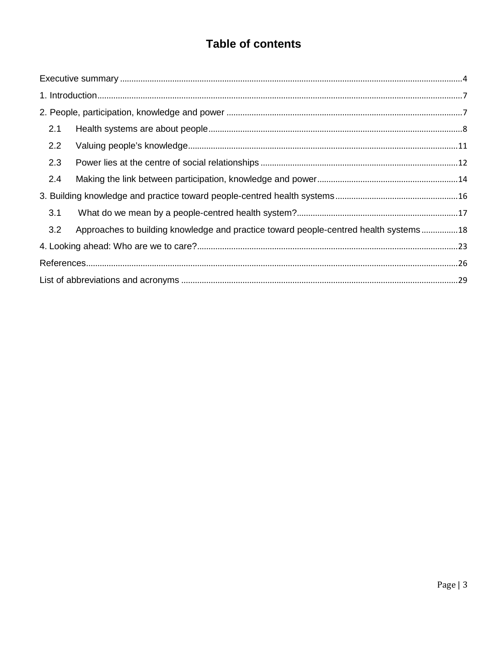# **Table of contents**

| 2.1                                                                                         |  |
|---------------------------------------------------------------------------------------------|--|
| 2.2                                                                                         |  |
| 2.3                                                                                         |  |
| 2.4                                                                                         |  |
|                                                                                             |  |
| 3.1                                                                                         |  |
| 3.2<br>Approaches to building knowledge and practice toward people-centred health systems18 |  |
|                                                                                             |  |
|                                                                                             |  |
|                                                                                             |  |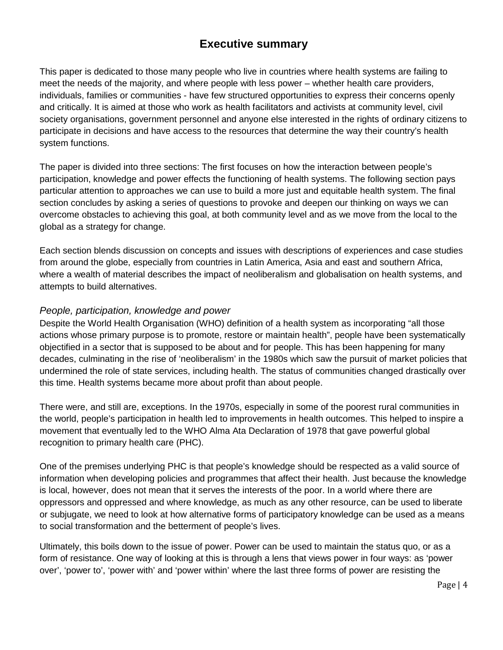## **Executive summary**

<span id="page-3-0"></span>This paper is dedicated to those many people who live in countries where health systems are failing to meet the needs of the majority, and where people with less power – whether health care providers, individuals, families or communities - have few structured opportunities to express their concerns openly and critically. It is aimed at those who work as health facilitators and activists at community level, civil society organisations, government personnel and anyone else interested in the rights of ordinary citizens to participate in decisions and have access to the resources that determine the way their country's health system functions.

The paper is divided into three sections: The first focuses on how the interaction between people's participation, knowledge and power effects the functioning of health systems. The following section pays particular attention to approaches we can use to build a more just and equitable health system. The final section concludes by asking a series of questions to provoke and deepen our thinking on ways we can overcome obstacles to achieving this goal, at both community level and as we move from the local to the global as a strategy for change.

Each section blends discussion on concepts and issues with descriptions of experiences and case studies from around the globe, especially from countries in Latin America, Asia and east and southern Africa, where a wealth of material describes the impact of neoliberalism and globalisation on health systems, and attempts to build alternatives.

#### *People, participation, knowledge and power*

Despite the World Health Organisation (WHO) definition of a health system as incorporating "all those actions whose primary purpose is to promote, restore or maintain health", people have been systematically objectified in a sector that is supposed to be about and for people. This has been happening for many decades, culminating in the rise of 'neoliberalism' in the 1980s which saw the pursuit of market policies that undermined the role of state services, including health. The status of communities changed drastically over this time. Health systems became more about profit than about people.

There were, and still are, exceptions. In the 1970s, especially in some of the poorest rural communities in the world, people's participation in health led to improvements in health outcomes. This helped to inspire a movement that eventually led to the WHO Alma Ata Declaration of 1978 that gave powerful global recognition to primary health care (PHC).

One of the premises underlying PHC is that people's knowledge should be respected as a valid source of information when developing policies and programmes that affect their health. Just because the knowledge is local, however, does not mean that it serves the interests of the poor. In a world where there are oppressors and oppressed and where knowledge, as much as any other resource, can be used to liberate or subjugate, we need to look at how alternative forms of participatory knowledge can be used as a means to social transformation and the betterment of people's lives.

Ultimately, this boils down to the issue of power. Power can be used to maintain the status quo, or as a form of resistance. One way of looking at this is through a lens that views power in four ways: as 'power over', 'power to', 'power with' and 'power within' where the last three forms of power are resisting the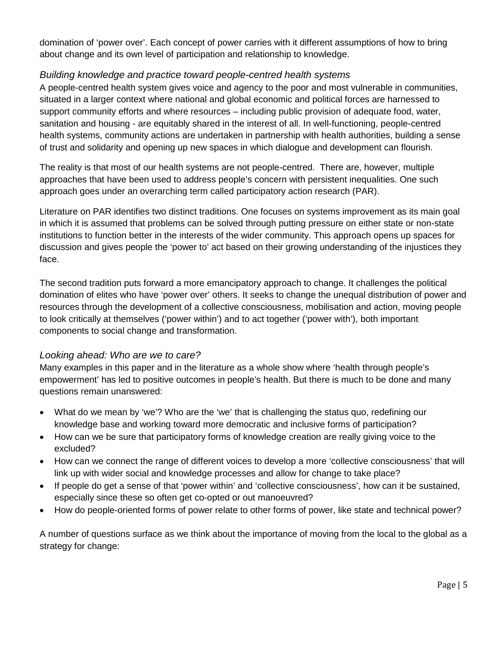domination of 'power over'. Each concept of power carries with it different assumptions of how to bring about change and its own level of participation and relationship to knowledge.

#### *Building knowledge and practice toward people-centred health systems*

A people-centred health system gives voice and agency to the poor and most vulnerable in communities, situated in a larger context where national and global economic and political forces are harnessed to support community efforts and where resources – including public provision of adequate food, water, sanitation and housing - are equitably shared in the interest of all. In well-functioning, people-centred health systems, community actions are undertaken in partnership with health authorities, building a sense of trust and solidarity and opening up new spaces in which dialogue and development can flourish.

The reality is that most of our health systems are not people-centred. There are, however, multiple approaches that have been used to address people's concern with persistent inequalities. One such approach goes under an overarching term called participatory action research (PAR).

Literature on PAR identifies two distinct traditions. One focuses on systems improvement as its main goal in which it is assumed that problems can be solved through putting pressure on either state or non-state institutions to function better in the interests of the wider community. This approach opens up spaces for discussion and gives people the 'power to' act based on their growing understanding of the injustices they face.

The second tradition puts forward a more emancipatory approach to change. It challenges the political domination of elites who have 'power over' others. It seeks to change the unequal distribution of power and resources through the development of a collective consciousness, mobilisation and action, moving people to look critically at themselves ('power within') and to act together ('power with'), both important components to social change and transformation.

#### *Looking ahead: Who are we to care?*

Many examples in this paper and in the literature as a whole show where 'health through people's empowerment' has led to positive outcomes in people's health. But there is much to be done and many questions remain unanswered:

- What do we mean by 'we'? Who are the 'we' that is challenging the status quo, redefining our knowledge base and working toward more democratic and inclusive forms of participation?
- How can we be sure that participatory forms of knowledge creation are really giving voice to the excluded?
- How can we connect the range of different voices to develop a more 'collective consciousness' that will link up with wider social and knowledge processes and allow for change to take place?
- If people do get a sense of that 'power within' and 'collective consciousness', how can it be sustained, especially since these so often get co-opted or out manoeuvred?
- How do people-oriented forms of power relate to other forms of power, like state and technical power?

A number of questions surface as we think about the importance of moving from the local to the global as a strategy for change: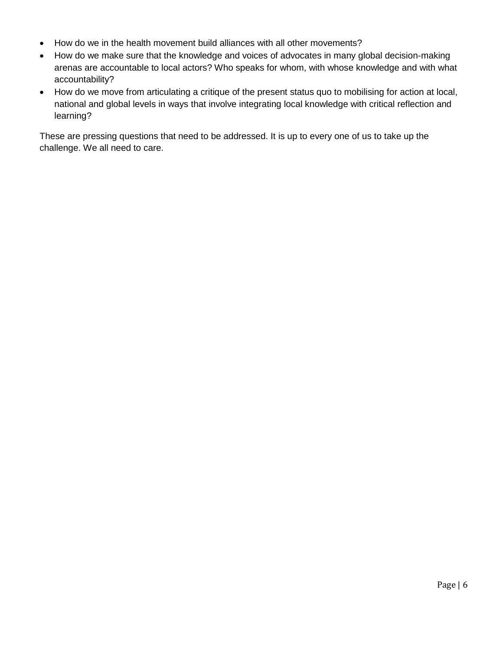- How do we in the health movement build alliances with all other movements?
- How do we make sure that the knowledge and voices of advocates in many global decision-making arenas are accountable to local actors? Who speaks for whom, with whose knowledge and with what accountability?
- How do we move from articulating a critique of the present status quo to mobilising for action at local, national and global levels in ways that involve integrating local knowledge with critical reflection and learning?

These are pressing questions that need to be addressed. It is up to every one of us to take up the challenge. We all need to care.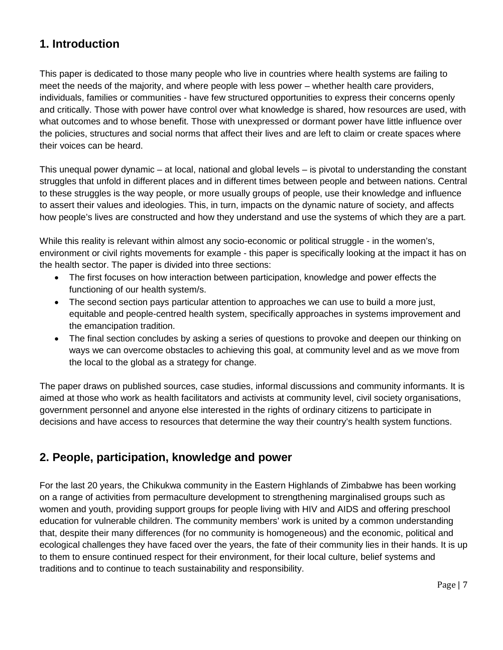# <span id="page-6-0"></span>**1. Introduction**

This paper is dedicated to those many people who live in countries where health systems are failing to meet the needs of the majority, and where people with less power – whether health care providers, individuals, families or communities - have few structured opportunities to express their concerns openly and critically. Those with power have control over what knowledge is shared, how resources are used, with what outcomes and to whose benefit. Those with unexpressed or dormant power have little influence over the policies, structures and social norms that affect their lives and are left to claim or create spaces where their voices can be heard.

This unequal power dynamic – at local, national and global levels – is pivotal to understanding the constant struggles that unfold in different places and in different times between people and between nations. Central to these struggles is the way people, or more usually groups of people, use their knowledge and influence to assert their values and ideologies. This, in turn, impacts on the dynamic nature of society, and affects how people's lives are constructed and how they understand and use the systems of which they are a part.

While this reality is relevant within almost any socio-economic or political struggle - in the women's, environment or civil rights movements for example - this paper is specifically looking at the impact it has on the health sector. The paper is divided into three sections:

- The first focuses on how interaction between participation, knowledge and power effects the functioning of our health system/s.
- The second section pays particular attention to approaches we can use to build a more just, equitable and people-centred health system, specifically approaches in systems improvement and the emancipation tradition.
- The final section concludes by asking a series of questions to provoke and deepen our thinking on ways we can overcome obstacles to achieving this goal, at community level and as we move from the local to the global as a strategy for change.

The paper draws on published sources, case studies, informal discussions and community informants. It is aimed at those who work as health facilitators and activists at community level, civil society organisations, government personnel and anyone else interested in the rights of ordinary citizens to participate in decisions and have access to resources that determine the way their country's health system functions.

# <span id="page-6-1"></span>**2. People, participation, knowledge and power**

For the last 20 years, the Chikukwa community in the Eastern Highlands of Zimbabwe has been working on a range of activities from permaculture development to strengthening marginalised groups such as women and youth, providing support groups for people living with HIV and AIDS and offering preschool education for vulnerable children. The community members' work is united by a common understanding that, despite their many differences (for no community is homogeneous) and the economic, political and ecological challenges they have faced over the years, the fate of their community lies in their hands. It is up to them to ensure continued respect for their environment, for their local culture, belief systems and traditions and to continue to teach sustainability and responsibility.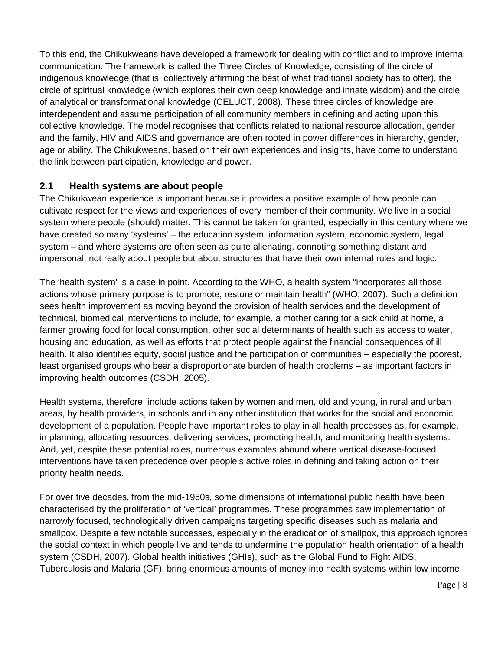To this end, the Chikukweans have developed a framework for dealing with conflict and to improve internal communication. The framework is called the Three Circles of Knowledge, consisting of the circle of indigenous knowledge (that is, collectively affirming the best of what traditional society has to offer), the circle of spiritual knowledge (which explores their own deep knowledge and innate wisdom) and the circle of analytical or transformational knowledge (CELUCT, 2008). These three circles of knowledge are interdependent and assume participation of all community members in defining and acting upon this collective knowledge. The model recognises that conflicts related to national resource allocation, gender and the family, HIV and AIDS and governance are often rooted in power differences in hierarchy, gender, age or ability. The Chikukweans, based on their own experiences and insights, have come to understand the link between participation, knowledge and power.

#### <span id="page-7-0"></span>**2.1 Health systems are about people**

The Chikukwean experience is important because it provides a positive example of how people can cultivate respect for the views and experiences of every member of their community. We live in a social system where people (should) matter. This cannot be taken for granted, especially in this century where we have created so many 'systems' – the education system, information system, economic system, legal system – and where systems are often seen as quite alienating, connoting something distant and impersonal, not really about people but about structures that have their own internal rules and logic.

The 'health system' is a case in point. According to the WHO, a health system "incorporates all those actions whose primary purpose is to promote, restore or maintain health" (WHO, 2007). Such a definition sees health improvement as moving beyond the provision of health services and the development of technical, biomedical interventions to include, for example, a mother caring for a sick child at home, a farmer growing food for local consumption, other social determinants of health such as access to water, housing and education, as well as efforts that protect people against the financial consequences of ill health. It also identifies equity, social justice and the participation of communities – especially the poorest, least organised groups who bear a disproportionate burden of health problems – as important factors in improving health outcomes (CSDH, 2005).

Health systems, therefore, include actions taken by women and men, old and young, in rural and urban areas, by health providers, in schools and in any other institution that works for the social and economic development of a population. People have important roles to play in all health processes as, for example, in planning, allocating resources, delivering services, promoting health, and monitoring health systems. And, yet, despite these potential roles, numerous examples abound where vertical disease-focused interventions have taken precedence over people's active roles in defining and taking action on their priority health needs.

For over five decades, from the mid-1950s, some dimensions of international public health have been characterised by the proliferation of 'vertical' programmes. These programmes saw implementation of narrowly focused, technologically driven campaigns targeting specific diseases such as malaria and smallpox. Despite a few notable successes, especially in the eradication of smallpox, this approach ignores the social context in which people live and tends to undermine the population health orientation of a health system (CSDH, 2007). Global health initiatives (GHIs), such as the Global Fund to Fight AIDS, Tuberculosis and Malaria (GF), bring enormous amounts of money into health systems within low income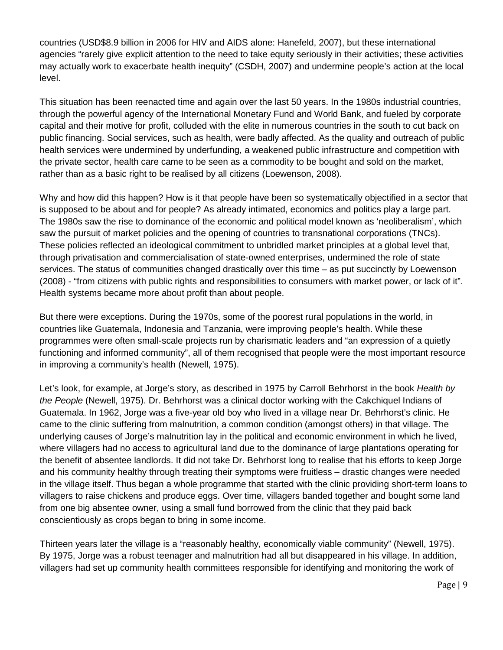countries (USD\$8.9 billion in 2006 for HIV and AIDS alone: Hanefeld, 2007), but these international agencies "rarely give explicit attention to the need to take equity seriously in their activities; these activities may actually work to exacerbate health inequity" (CSDH, 2007) and undermine people's action at the local level.

This situation has been reenacted time and again over the last 50 years. In the 1980s industrial countries, through the powerful agency of the International Monetary Fund and World Bank, and fueled by corporate capital and their motive for profit, colluded with the elite in numerous countries in the south to cut back on public financing. Social services, such as health, were badly affected. As the quality and outreach of public health services were undermined by underfunding, a weakened public infrastructure and competition with the private sector, health care came to be seen as a commodity to be bought and sold on the market, rather than as a basic right to be realised by all citizens (Loewenson, 2008).

Why and how did this happen? How is it that people have been so systematically objectified in a sector that is supposed to be about and for people? As already intimated, economics and politics play a large part. The 1980s saw the rise to dominance of the economic and political model known as 'neoliberalism', which saw the pursuit of market policies and the opening of countries to transnational corporations (TNCs). These policies reflected an ideological commitment to unbridled market principles at a global level that, through privatisation and commercialisation of state-owned enterprises, undermined the role of state services. The status of communities changed drastically over this time – as put succinctly by Loewenson (2008) - "from citizens with public rights and responsibilities to consumers with market power, or lack of it". Health systems became more about profit than about people.

But there were exceptions. During the 1970s, some of the poorest rural populations in the world, in countries like Guatemala, Indonesia and Tanzania, were improving people's health. While these programmes were often small-scale projects run by charismatic leaders and "an expression of a quietly functioning and informed community", all of them recognised that people were the most important resource in improving a community's health (Newell, 1975).

Let's look, for example, at Jorge's story, as described in 1975 by Carroll Behrhorst in the book *Health by the People* (Newell, 1975). Dr. Behrhorst was a clinical doctor working with the Cakchiquel Indians of Guatemala. In 1962, Jorge was a five-year old boy who lived in a village near Dr. Behrhorst's clinic. He came to the clinic suffering from malnutrition, a common condition (amongst others) in that village. The underlying causes of Jorge's malnutrition lay in the political and economic environment in which he lived, where villagers had no access to agricultural land due to the dominance of large plantations operating for the benefit of absentee landlords. It did not take Dr. Behrhorst long to realise that his efforts to keep Jorge and his community healthy through treating their symptoms were fruitless – drastic changes were needed in the village itself. Thus began a whole programme that started with the clinic providing short-term loans to villagers to raise chickens and produce eggs. Over time, villagers banded together and bought some land from one big absentee owner, using a small fund borrowed from the clinic that they paid back conscientiously as crops began to bring in some income.

Thirteen years later the village is a "reasonably healthy, economically viable community" (Newell, 1975). By 1975, Jorge was a robust teenager and malnutrition had all but disappeared in his village. In addition, villagers had set up community health committees responsible for identifying and monitoring the work of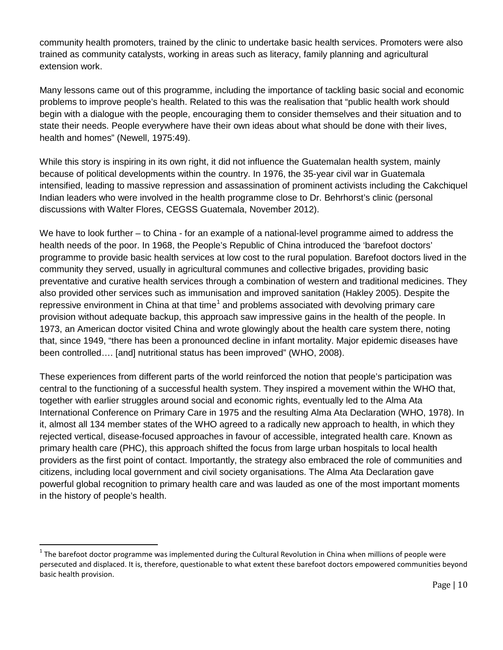community health promoters, trained by the clinic to undertake basic health services. Promoters were also trained as community catalysts, working in areas such as literacy, family planning and agricultural extension work.

Many lessons came out of this programme, including the importance of tackling basic social and economic problems to improve people's health. Related to this was the realisation that "public health work should begin with a dialogue with the people, encouraging them to consider themselves and their situation and to state their needs. People everywhere have their own ideas about what should be done with their lives, health and homes" (Newell, 1975:49).

While this story is inspiring in its own right, it did not influence the Guatemalan health system, mainly because of political developments within the country. In 1976, the 35-year civil war in Guatemala intensified, leading to massive repression and assassination of prominent activists including the Cakchiquel Indian leaders who were involved in the health programme close to Dr. Behrhorst's clinic (personal discussions with Walter Flores, CEGSS Guatemala, November 2012).

We have to look further – to China - for an example of a national-level programme aimed to address the health needs of the poor. In 1968, the People's Republic of China introduced the 'barefoot doctors' programme to provide basic health services at low cost to the rural population. Barefoot doctors lived in the community they served, usually in agricultural communes and collective brigades, providing basic preventative and curative health services through a combination of western and traditional medicines. They also provided other services such as immunisation and improved sanitation (Hakley 2005). Despite the repressive environment in China at that time<sup>[1](#page-9-0)</sup> and problems associated with devolving primary care provision without adequate backup, this approach saw impressive gains in the health of the people. In 1973, an American doctor visited China and wrote glowingly about the health care system there, noting that, since 1949, "there has been a pronounced decline in infant mortality. Major epidemic diseases have been controlled…. [and] nutritional status has been improved" (WHO, 2008).

These experiences from different parts of the world reinforced the notion that people's participation was central to the functioning of a successful health system. They inspired a movement within the WHO that, together with earlier struggles around social and economic rights, eventually led to the Alma Ata International Conference on Primary Care in 1975 and the resulting Alma Ata Declaration (WHO, 1978). In it, almost all 134 member states of the WHO agreed to a radically new approach to health, in which they rejected vertical, disease-focused approaches in favour of accessible, integrated health care. Known as primary health care (PHC), this approach shifted the focus from large urban hospitals to local health providers as the first point of contact. Importantly, the strategy also embraced the role of communities and citizens, including local government and civil society organisations. The Alma Ata Declaration gave powerful global recognition to primary health care and was lauded as one of the most important moments in the history of people's health.

<span id="page-9-0"></span> $1$  The barefoot doctor programme was implemented during the Cultural Revolution in China when millions of people were persecuted and displaced. It is, therefore, questionable to what extent these barefoot doctors empowered communities beyond basic health provision.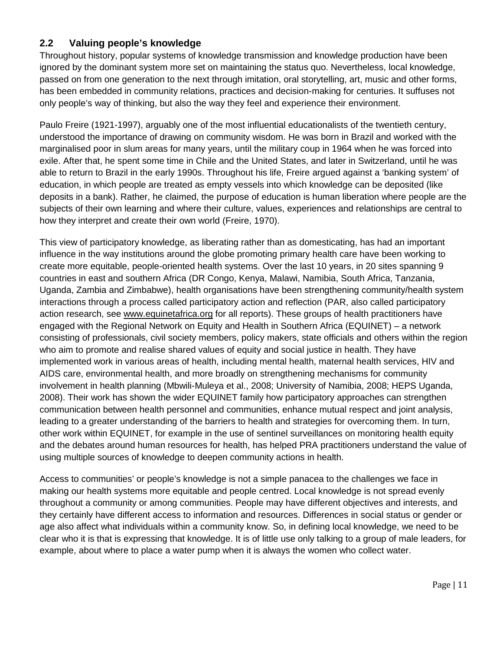#### <span id="page-10-0"></span>**2.2 Valuing people's knowledge**

Throughout history, popular systems of knowledge transmission and knowledge production have been ignored by the dominant system more set on maintaining the status quo. Nevertheless, local knowledge, passed on from one generation to the next through imitation, oral storytelling, art, music and other forms, has been embedded in community relations, practices and decision-making for centuries. It suffuses not only people's way of thinking, but also the way they feel and experience their environment.

Paulo Freire (1921-1997), arguably one of the most influential educationalists of the twentieth century, understood the importance of drawing on community wisdom. He was born in Brazil and worked with the marginalised poor in slum areas for many years, until the military coup in 1964 when he was forced into exile. After that, he spent some time in Chile and the United States, and later in Switzerland, until he was able to return to Brazil in the early 1990s. Throughout his life, Freire argued against a 'banking system' of education, in which people are treated as empty vessels into which knowledge can be deposited (like deposits in a bank). Rather, he claimed, the purpose of education is human liberation where people are the subjects of their own learning and where their culture, values, experiences and relationships are central to how they interpret and create their own world (Freire, 1970).

This view of participatory knowledge, as liberating rather than as domesticating, has had an important influence in the way institutions around the globe promoting primary health care have been working to create more equitable, people-oriented health systems. Over the last 10 years, in 20 sites spanning 9 countries in east and southern Africa (DR Congo, Kenya, Malawi, Namibia, South Africa, Tanzania, Uganda, Zambia and Zimbabwe), health organisations have been strengthening community/health system interactions through a process called participatory action and reflection (PAR, also called participatory action research, see [www.equinetafrica.org](http://www.equinetafrica.org/) for all reports). These groups of health practitioners have engaged with the Regional Network on Equity and Health in Southern Africa (EQUINET) – a network consisting of professionals, civil society members, policy makers, state officials and others within the region who aim to promote and realise shared values of equity and social justice in health. They have implemented work in various areas of health, including mental health, maternal health services, HIV and AIDS care, environmental health, and more broadly on strengthening mechanisms for community involvement in health planning (Mbwili-Muleya et al., 2008; University of Namibia, 2008; HEPS Uganda, 2008). Their work has shown the wider EQUINET family how participatory approaches can strengthen communication between health personnel and communities, enhance mutual respect and joint analysis, leading to a greater understanding of the barriers to health and strategies for overcoming them. In turn, other work within EQUINET, for example in the use of sentinel surveillances on monitoring health equity and the debates around human resources for health, has helped PRA practitioners understand the value of using multiple sources of knowledge to deepen community actions in health.

Access to communities' or people's knowledge is not a simple panacea to the challenges we face in making our health systems more equitable and people centred. Local knowledge is not spread evenly throughout a community or among communities. People may have different objectives and interests, and they certainly have different access to information and resources. Differences in social status or gender or age also affect what individuals within a community know. So, in defining local knowledge, we need to be clear who it is that is expressing that knowledge. It is of little use only talking to a group of male leaders, for example, about where to place a water pump when it is always the women who collect water.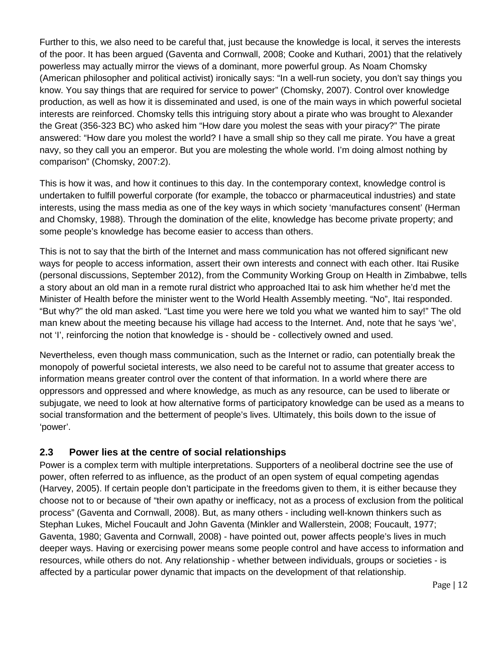Further to this, we also need to be careful that, just because the knowledge is local, it serves the interests of the poor. It has been argued (Gaventa and Cornwall, 2008; Cooke and Kuthari, 2001) that the relatively powerless may actually mirror the views of a dominant, more powerful group. As Noam Chomsky (American philosopher and political activist) ironically says: "In a well-run society, you don't say things you know. You say things that are required for service to power" (Chomsky, 2007). Control over knowledge production, as well as how it is disseminated and used, is one of the main ways in which powerful societal interests are reinforced. Chomsky tells this intriguing story about a pirate who was brought to Alexander the Great (356-323 BC) who asked him "How dare you molest the seas with your piracy?" The pirate answered: "How dare you molest the world? I have a small ship so they call me pirate. You have a great navy, so they call you an emperor. But you are molesting the whole world. I'm doing almost nothing by comparison" (Chomsky, 2007:2).

This is how it was, and how it continues to this day. In the contemporary context, knowledge control is undertaken to fulfill powerful corporate (for example, the tobacco or pharmaceutical industries) and state interests, using the mass media as one of the key ways in which society 'manufactures consent' (Herman and Chomsky, 1988). Through the domination of the elite, knowledge has become private property; and some people's knowledge has become easier to access than others.

This is not to say that the birth of the Internet and mass communication has not offered significant new ways for people to access information, assert their own interests and connect with each other. Itai Rusike (personal discussions, September 2012), from the Community Working Group on Health in Zimbabwe, tells a story about an old man in a remote rural district who approached Itai to ask him whether he'd met the Minister of Health before the minister went to the World Health Assembly meeting. "No", Itai responded. "But why?" the old man asked. "Last time you were here we told you what we wanted him to say!" The old man knew about the meeting because his village had access to the Internet. And, note that he says 'we', not 'I', reinforcing the notion that knowledge is - should be - collectively owned and used.

Nevertheless, even though mass communication, such as the Internet or radio, can potentially break the monopoly of powerful societal interests, we also need to be careful not to assume that greater access to information means greater control over the content of that information. In a world where there are oppressors and oppressed and where knowledge, as much as any resource, can be used to liberate or subjugate, we need to look at how alternative forms of participatory knowledge can be used as a means to social transformation and the betterment of people's lives. Ultimately, this boils down to the issue of 'power'.

#### <span id="page-11-0"></span>**2.3 Power lies at the centre of social relationships**

Power is a complex term with multiple interpretations. Supporters of a neoliberal doctrine see the use of power, often referred to as influence, as the product of an open system of equal competing agendas (Harvey, 2005). If certain people don't participate in the freedoms given to them, it is either because they choose not to or because of "their own apathy or inefficacy, not as a process of exclusion from the political process" (Gaventa and Cornwall, 2008). But, as many others - including well-known thinkers such as Stephan Lukes, Michel Foucault and John Gaventa (Minkler and Wallerstein, 2008; Foucault, 1977; Gaventa, 1980; Gaventa and Cornwall, 2008) - have pointed out, power affects people's lives in much deeper ways. Having or exercising power means some people control and have access to information and resources, while others do not. Any relationship - whether between individuals, groups or societies - is affected by a particular power dynamic that impacts on the development of that relationship.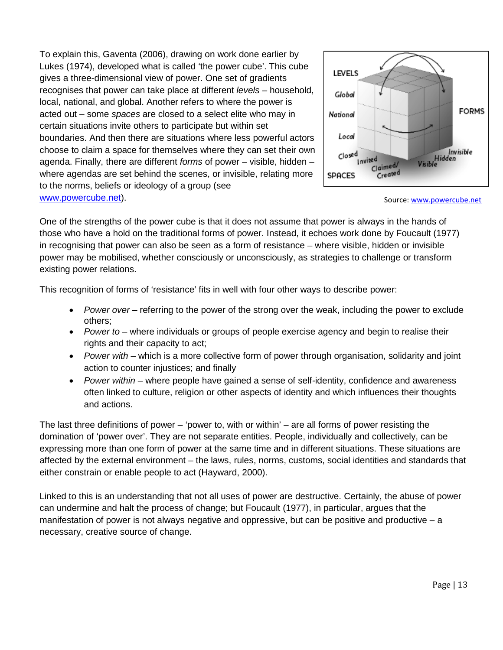To explain this, Gaventa (2006), drawing on work done earlier by Lukes (1974), developed what is called 'the power cube'. This cube gives a three-dimensional view of power. One set of gradients recognises that power can take place at different *levels* – household, local, national, and global. Another refers to where the power is acted out – some *spaces* are closed to a select elite who may in certain situations invite others to participate but within set boundaries. And then there are situations where less powerful actors choose to claim a space for themselves where they can set their own agenda. Finally, there are different *forms* of power – visible, hidden – where agendas are set behind the scenes, or invisible, relating more to the norms, beliefs or ideology of a group (see [www.powercube.net\)](http://www.powercube.net/).



Source[: www.powercube.net](http://www.powercube.net/)

One of the strengths of the power cube is that it does not assume that power is always in the hands of those who have a hold on the traditional forms of power. Instead, it echoes work done by Foucault (1977) in recognising that power can also be seen as a form of resistance – where visible, hidden or invisible power may be mobilised, whether consciously or unconsciously, as strategies to challenge or transform existing power relations.

This recognition of forms of 'resistance' fits in well with four other ways to describe power:

- *Power over* referring to the power of the strong over the weak, including the power to exclude others;
- *Power to* where individuals or groups of people exercise agency and begin to realise their rights and their capacity to act;
- *Power with* which is a more collective form of power through organisation, solidarity and joint action to counter injustices; and finally
- *Power within* where people have gained a sense of self*-*identity, confidence and awareness often linked to culture, religion or other aspects of identity and which influences their thoughts and actions.

The last three definitions of power – 'power to, with or within' – are all forms of power resisting the domination of 'power over'. They are not separate entities. People, individually and collectively, can be expressing more than one form of power at the same time and in different situations. These situations are affected by the external environment – the laws, rules, norms, customs, social identities and standards that either constrain or enable people to act (Hayward, 2000).

Linked to this is an understanding that not all uses of power are destructive. Certainly, the abuse of power can undermine and halt the process of change; but Foucault (1977), in particular, argues that the manifestation of power is not always negative and oppressive, but can be positive and productive  $-$  a necessary, creative source of change.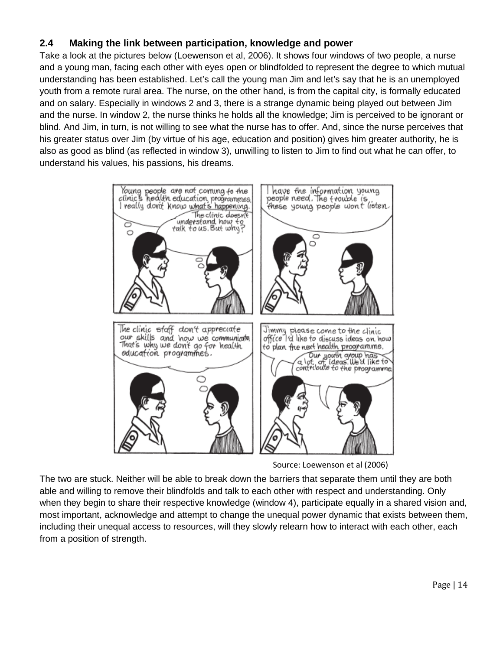#### <span id="page-13-0"></span>**2.4 Making the link between participation, knowledge and power**

Take a look at the pictures below (Loewenson et al, 2006). It shows four windows of two people, a nurse and a young man, facing each other with eyes open or blindfolded to represent the degree to which mutual understanding has been established. Let's call the young man Jim and let's say that he is an unemployed youth from a remote rural area. The nurse, on the other hand, is from the capital city, is formally educated and on salary. Especially in windows 2 and 3, there is a strange dynamic being played out between Jim and the nurse. In window 2, the nurse thinks he holds all the knowledge; Jim is perceived to be ignorant or blind. And Jim, in turn, is not willing to see what the nurse has to offer. And, since the nurse perceives that his greater status over Jim (by virtue of his age, education and position) gives him greater authority, he is also as good as blind (as reflected in window 3), unwilling to listen to Jim to find out what he can offer, to understand his values, his passions, his dreams.



Source: Loewenson et al (2006)

The two are stuck. Neither will be able to break down the barriers that separate them until they are both able and willing to remove their blindfolds and talk to each other with respect and understanding. Only when they begin to share their respective knowledge (window 4), participate equally in a shared vision and, most important, acknowledge and attempt to change the unequal power dynamic that exists between them, including their unequal access to resources, will they slowly relearn how to interact with each other, each from a position of strength.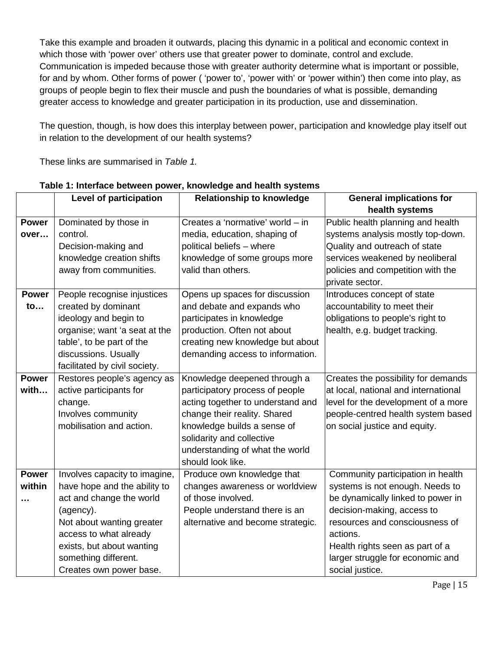Take this example and broaden it outwards, placing this dynamic in a political and economic context in which those with 'power over' others use that greater power to dominate, control and exclude. Communication is impeded because those with greater authority determine what is important or possible, for and by whom. Other forms of power ( 'power to', 'power with' or 'power within') then come into play, as groups of people begin to flex their muscle and push the boundaries of what is possible, demanding greater access to knowledge and greater participation in its production, use and dissemination.

The question, though, is how does this interplay between power, participation and knowledge play itself out in relation to the development of our health systems?

These links are summarised in *Table 1.*

|              | Level of participation        | <b>Relationship to knowledge</b>  | <b>General implications for</b>      |
|--------------|-------------------------------|-----------------------------------|--------------------------------------|
|              |                               |                                   | health systems                       |
| <b>Power</b> | Dominated by those in         | Creates a 'normative' world - in  | Public health planning and health    |
| over         | control.                      | media, education, shaping of      | systems analysis mostly top-down.    |
|              | Decision-making and           | political beliefs - where         | Quality and outreach of state        |
|              | knowledge creation shifts     | knowledge of some groups more     | services weakened by neoliberal      |
|              | away from communities.        | valid than others.                | policies and competition with the    |
|              |                               |                                   | private sector.                      |
| <b>Power</b> | People recognise injustices   | Opens up spaces for discussion    | Introduces concept of state          |
| to           | created by dominant           | and debate and expands who        | accountability to meet their         |
|              | ideology and begin to         | participates in knowledge         | obligations to people's right to     |
|              | organise; want 'a seat at the | production. Often not about       | health, e.g. budget tracking.        |
|              | table', to be part of the     | creating new knowledge but about  |                                      |
|              | discussions. Usually          | demanding access to information.  |                                      |
|              | facilitated by civil society. |                                   |                                      |
| <b>Power</b> | Restores people's agency as   | Knowledge deepened through a      | Creates the possibility for demands  |
| with         | active participants for       | participatory process of people   | at local, national and international |
|              | change.                       | acting together to understand and | level for the development of a more  |
|              | Involves community            | change their reality. Shared      | people-centred health system based   |
|              | mobilisation and action.      | knowledge builds a sense of       | on social justice and equity.        |
|              |                               | solidarity and collective         |                                      |
|              |                               | understanding of what the world   |                                      |
|              |                               | should look like.                 |                                      |
| <b>Power</b> | Involves capacity to imagine, | Produce own knowledge that        | Community participation in health    |
| within       | have hope and the ability to  | changes awareness or worldview    | systems is not enough. Needs to      |
|              | act and change the world      | of those involved.                | be dynamically linked to power in    |
|              | (agency).                     | People understand there is an     | decision-making, access to           |
|              | Not about wanting greater     | alternative and become strategic. | resources and consciousness of       |
|              | access to what already        |                                   | actions.                             |
|              | exists, but about wanting     |                                   | Health rights seen as part of a      |
|              | something different.          |                                   | larger struggle for economic and     |
|              | Creates own power base.       |                                   | social justice.                      |

#### **Table 1: Interface between power, knowledge and health systems**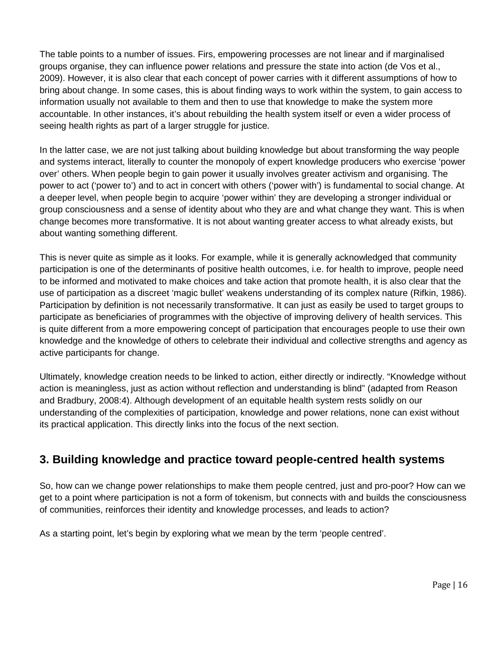The table points to a number of issues. Firs, empowering processes are not linear and if marginalised groups organise, they can influence power relations and pressure the state into action (de Vos et al., 2009). However, it is also clear that each concept of power carries with it different assumptions of how to bring about change. In some cases, this is about finding ways to work within the system, to gain access to information usually not available to them and then to use that knowledge to make the system more accountable. In other instances, it's about rebuilding the health system itself or even a wider process of seeing health rights as part of a larger struggle for justice.

In the latter case, we are not just talking about building knowledge but about transforming the way people and systems interact, literally to counter the monopoly of expert knowledge producers who exercise 'power over' others. When people begin to gain power it usually involves greater activism and organising. The power to act ('power to') and to act in concert with others ('power with') is fundamental to social change. At a deeper level, when people begin to acquire 'power within' they are developing a stronger individual or group consciousness and a sense of identity about who they are and what change they want. This is when change becomes more transformative. It is not about wanting greater access to what already exists, but about wanting something different.

This is never quite as simple as it looks. For example, while it is generally acknowledged that community participation is one of the determinants of positive health outcomes, i.e. for health to improve, people need to be informed and motivated to make choices and take action that promote health, it is also clear that the use of participation as a discreet 'magic bullet' weakens understanding of its complex nature (Rifkin, 1986). Participation by definition is not necessarily transformative. It can just as easily be used to target groups to participate as beneficiaries of programmes with the objective of improving delivery of health services. This is quite different from a more empowering concept of participation that encourages people to use their own knowledge and the knowledge of others to celebrate their individual and collective strengths and agency as active participants for change.

Ultimately, knowledge creation needs to be linked to action, either directly or indirectly. "Knowledge without action is meaningless, just as action without reflection and understanding is blind" (adapted from Reason and Bradbury, 2008:4). Although development of an equitable health system rests solidly on our understanding of the complexities of participation, knowledge and power relations, none can exist without its practical application. This directly links into the focus of the next section.

### <span id="page-15-0"></span>**3. Building knowledge and practice toward people-centred health systems**

So, how can we change power relationships to make them people centred, just and pro-poor? How can we get to a point where participation is not a form of tokenism, but connects with and builds the consciousness of communities, reinforces their identity and knowledge processes, and leads to action?

As a starting point, let's begin by exploring what we mean by the term 'people centred'.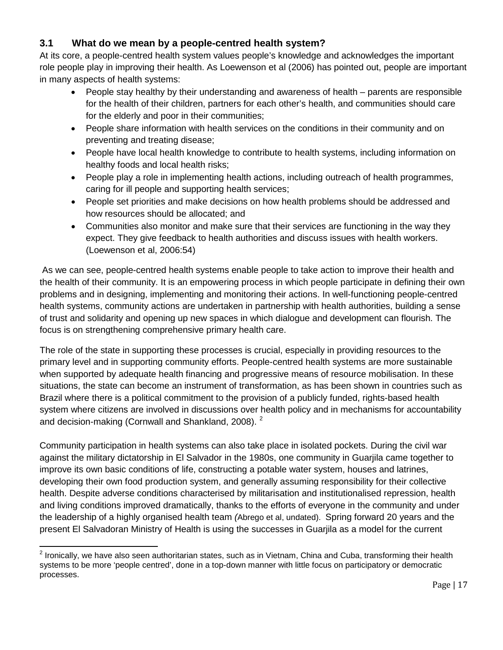#### <span id="page-16-0"></span>**3.1 What do we mean by a people-centred health system?**

At its core, a people-centred health system values people's knowledge and acknowledges the important role people play in improving their health. As Loewenson et al (2006) has pointed out, people are important in many aspects of health systems:

- People stay healthy by their understanding and awareness of health parents are responsible for the health of their children, partners for each other's health, and communities should care for the elderly and poor in their communities;
- People share information with health services on the conditions in their community and on preventing and treating disease;
- People have local health knowledge to contribute to health systems, including information on healthy foods and local health risks;
- People play a role in implementing health actions, including outreach of health programmes, caring for ill people and supporting health services;
- People set priorities and make decisions on how health problems should be addressed and how resources should be allocated; and
- Communities also monitor and make sure that their services are functioning in the way they expect. They give feedback to health authorities and discuss issues with health workers. (Loewenson et al, 2006:54)

As we can see, people-centred health systems enable people to take action to improve their health and the health of their community. It is an empowering process in which people participate in defining their own problems and in designing, implementing and monitoring their actions. In well-functioning people-centred health systems, community actions are undertaken in partnership with health authorities, building a sense of trust and solidarity and opening up new spaces in which dialogue and development can flourish. The focus is on strengthening comprehensive primary health care.

The role of the state in supporting these processes is crucial, especially in providing resources to the primary level and in supporting community efforts. People-centred health systems are more sustainable when supported by adequate health financing and progressive means of resource mobilisation. In these situations, the state can become an instrument of transformation, as has been shown in countries such as Brazil where there is a political commitment to the provision of a publicly funded, rights-based health system where citizens are involved in discussions over health policy and in mechanisms for accountability and decision-making (Cornwall and Shankland, [2](#page-16-1)008). <sup>2</sup>

Community participation in health systems can also take place in isolated pockets. During the civil war against the military dictatorship in El Salvador in the 1980s, one community in Guarjila came together to improve its own basic conditions of life, constructing a potable water system, houses and latrines, developing their own food production system, and generally assuming responsibility for their collective health. Despite adverse conditions characterised by militarisation and institutionalised repression, health and living conditions improved dramatically, thanks to the efforts of everyone in the community and under the leadership of a highly organised health team *(*Abrego et al, undated). Spring forward 20 years and the present El Salvadoran Ministry of Health is using the successes in Guarjila as a model for the current

<span id="page-16-1"></span> $2$  Ironically, we have also seen authoritarian states, such as in Vietnam, China and Cuba, transforming their health systems to be more 'people centred', done in a top-down manner with little focus on participatory or democratic processes.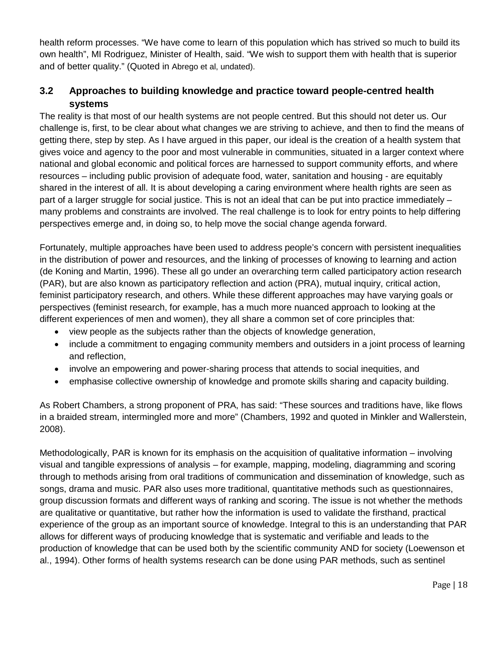health reform processes. "We have come to learn of this population which has strived so much to build its own health", MI Rodriguez, Minister of Health, said. "We wish to support them with health that is superior and of better quality." (Quoted in Abrego et al, undated).

#### <span id="page-17-0"></span>**3.2 Approaches to building knowledge and practice toward people-centred health systems**

The reality is that most of our health systems are not people centred. But this should not deter us. Our challenge is, first, to be clear about what changes we are striving to achieve, and then to find the means of getting there, step by step. As I have argued in this paper, our ideal is the creation of a health system that gives voice and agency to the poor and most vulnerable in communities, situated in a larger context where national and global economic and political forces are harnessed to support community efforts, and where resources – including public provision of adequate food, water, sanitation and housing - are equitably shared in the interest of all. It is about developing a caring environment where health rights are seen as part of a larger struggle for social justice. This is not an ideal that can be put into practice immediately – many problems and constraints are involved. The real challenge is to look for entry points to help differing perspectives emerge and, in doing so, to help move the social change agenda forward.

Fortunately, multiple approaches have been used to address people's concern with persistent inequalities in the distribution of power and resources, and the linking of processes of knowing to learning and action (de Koning and Martin, 1996). These all go under an overarching term called participatory action research (PAR), but are also known as participatory reflection and action (PRA), mutual inquiry, critical action, feminist participatory research, and others. While these different approaches may have varying goals or perspectives (feminist research, for example, has a much more nuanced approach to looking at the different experiences of men and women), they all share a common set of core principles that:

- view people as the subjects rather than the objects of knowledge generation,
- include a commitment to engaging community members and outsiders in a joint process of learning and reflection,
- involve an empowering and power-sharing process that attends to social inequities, and
- emphasise collective ownership of knowledge and promote skills sharing and capacity building.

As Robert Chambers, a strong proponent of PRA, has said: "These sources and traditions have, like flows in a braided stream, intermingled more and more" (Chambers, 1992 and quoted in Minkler and Wallerstein, 2008).

Methodologically, PAR is known for its emphasis on the acquisition of qualitative information – involving visual and tangible expressions of analysis – for example, mapping, modeling, diagramming and scoring through to methods arising from oral traditions of communication and dissemination of knowledge, such as songs, drama and music. PAR also uses more traditional, quantitative methods such as questionnaires, group discussion formats and different ways of ranking and scoring. The issue is not whether the methods are qualitative or quantitative, but rather how the information is used to validate the firsthand, practical experience of the group as an important source of knowledge. Integral to this is an understanding that PAR allows for different ways of producing knowledge that is systematic and verifiable and leads to the production of knowledge that can be used both by the scientific community AND for society (Loewenson et al., 1994). Other forms of health systems research can be done using PAR methods, such as sentinel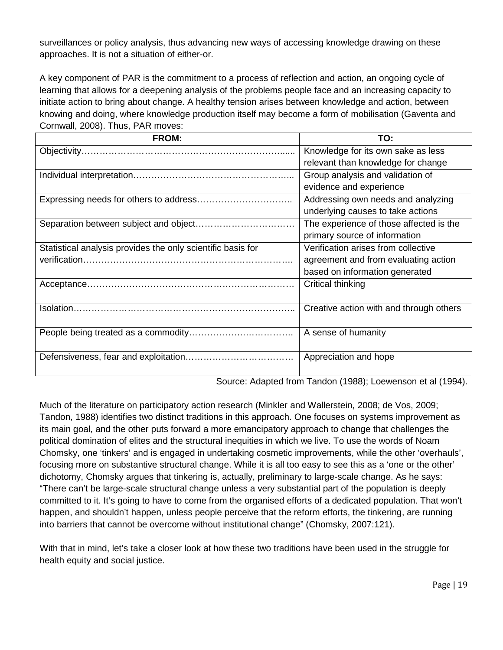surveillances or policy analysis, thus advancing new ways of accessing knowledge drawing on these approaches. It is not a situation of either-or.

A key component of PAR is the commitment to a process of reflection and action, an ongoing cycle of learning that allows for a deepening analysis of the problems people face and an increasing capacity to initiate action to bring about change. A healthy tension arises between knowledge and action, between knowing and doing, where knowledge production itself may become a form of mobilisation (Gaventa and Cornwall, 2008). Thus, PAR moves:

| <b>FROM:</b>                                                | TO:                                     |
|-------------------------------------------------------------|-----------------------------------------|
|                                                             | Knowledge for its own sake as less      |
|                                                             | relevant than knowledge for change      |
|                                                             | Group analysis and validation of        |
|                                                             | evidence and experience                 |
|                                                             | Addressing own needs and analyzing      |
|                                                             | underlying causes to take actions       |
|                                                             | The experience of those affected is the |
|                                                             | primary source of information           |
| Statistical analysis provides the only scientific basis for | Verification arises from collective     |
|                                                             | agreement and from evaluating action    |
|                                                             | based on information generated          |
|                                                             | Critical thinking                       |
|                                                             |                                         |
|                                                             | Creative action with and through others |
|                                                             |                                         |
|                                                             | A sense of humanity                     |
|                                                             |                                         |
|                                                             | Appreciation and hope                   |
|                                                             |                                         |

Source: Adapted from Tandon (1988); Loewenson et al (1994).

Much of the literature on participatory action research (Minkler and Wallerstein, 2008; de Vos, 2009; Tandon, 1988) identifies two distinct traditions in this approach. One focuses on systems improvement as its main goal, and the other puts forward a more emancipatory approach to change that challenges the political domination of elites and the structural inequities in which we live. To use the words of Noam Chomsky, one 'tinkers' and is engaged in undertaking cosmetic improvements, while the other 'overhauls', focusing more on substantive structural change. While it is all too easy to see this as a 'one or the other' dichotomy, Chomsky argues that tinkering is, actually, preliminary to large-scale change. As he says: "There can't be large-scale structural change unless a very substantial part of the population is deeply committed to it. It's going to have to come from the organised efforts of a dedicated population. That won't happen, and shouldn't happen, unless people perceive that the reform efforts, the tinkering, are running into barriers that cannot be overcome without institutional change" (Chomsky, 2007:121).

With that in mind, let's take a closer look at how these two traditions have been used in the struggle for health equity and social justice.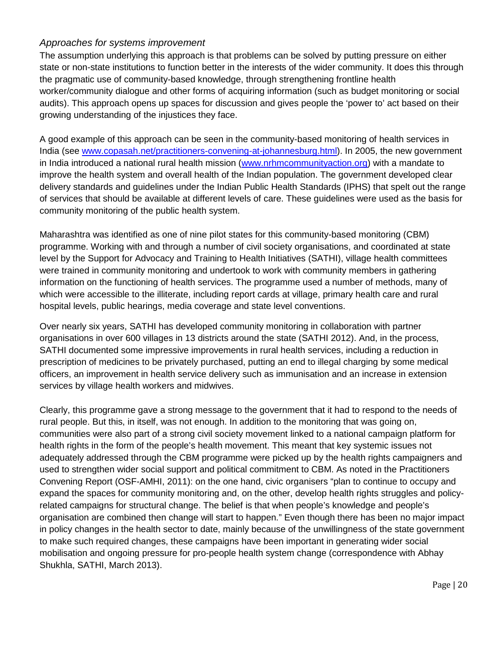#### *Approaches for systems improvement*

The assumption underlying this approach is that problems can be solved by putting pressure on either state or non-state institutions to function better in the interests of the wider community. It does this through the pragmatic use of community-based knowledge, through strengthening frontline health worker/community dialogue and other forms of acquiring information (such as budget monitoring or social audits). This approach opens up spaces for discussion and gives people the 'power to' act based on their growing understanding of the injustices they face.

A good example of this approach can be seen in the community-based monitoring of health services in India (see [www.copasah.net/practitioners-convening-at-johannesburg.html\)](http://www.copasah.net/practitioners-convening-at-johannesburg.html). In 2005, the new government in India introduced a national rural health mission [\(www.nrhmcommunityaction.org\)](http://www.nrhmcommunityaction.org/) with a mandate to improve the health system and overall health of the Indian population. The government developed clear delivery standards and guidelines under the Indian Public Health Standards (IPHS) that spelt out the range of services that should be available at different levels of care. These guidelines were used as the basis for community monitoring of the public health system.

Maharashtra was identified as one of nine pilot states for this community-based monitoring (CBM) programme. Working with and through a number of civil society organisations, and coordinated at state level by the Support for Advocacy and Training to Health Initiatives (SATHI), village health committees were trained in community monitoring and undertook to work with community members in gathering information on the functioning of health services. The programme used a number of methods, many of which were accessible to the illiterate, including report cards at village, primary health care and rural hospital levels, public hearings, media coverage and state level conventions.

Over nearly six years, SATHI has developed community monitoring in collaboration with partner organisations in over 600 villages in 13 districts around the state (SATHI 2012). And, in the process, SATHI documented some impressive improvements in rural health services, including a reduction in prescription of medicines to be privately purchased, putting an end to illegal charging by some medical officers, an improvement in health service delivery such as immunisation and an increase in extension services by village health workers and midwives.

Clearly, this programme gave a strong message to the government that it had to respond to the needs of rural people. But this, in itself, was not enough. In addition to the monitoring that was going on, communities were also part of a strong civil society movement linked to a national campaign platform for health rights in the form of the people's health movement. This meant that key systemic issues not adequately addressed through the CBM programme were picked up by the health rights campaigners and used to strengthen wider social support and political commitment to CBM. As noted in the Practitioners Convening Report (OSF-AMHI, 2011): on the one hand, civic organisers "plan to continue to occupy and expand the spaces for community monitoring and, on the other, develop health rights struggles and policyrelated campaigns for structural change. The belief is that when people's knowledge and people's organisation are combined then change will start to happen." Even though there has been no major impact in policy changes in the health sector to date, mainly because of the unwillingness of the state government to make such required changes, these campaigns have been important in generating wider social mobilisation and ongoing pressure for pro-people health system change (correspondence with Abhay Shukhla, SATHI, March 2013).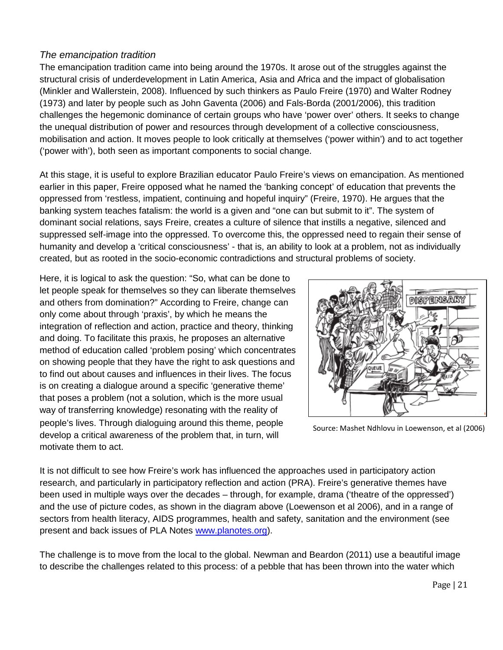#### *The emancipation tradition*

The emancipation tradition came into being around the 1970s. It arose out of the struggles against the structural crisis of underdevelopment in Latin America, Asia and Africa and the impact of globalisation (Minkler and Wallerstein, 2008). Influenced by such thinkers as Paulo Freire (1970) and Walter Rodney (1973) and later by people such as John Gaventa (2006) and Fals-Borda (2001/2006), this tradition challenges the hegemonic dominance of certain groups who have 'power over' others. It seeks to change the unequal distribution of power and resources through development of a collective consciousness, mobilisation and action. It moves people to look critically at themselves ('power within') and to act together ('power with'), both seen as important components to social change.

At this stage, it is useful to explore Brazilian educator Paulo Freire's views on emancipation. As mentioned earlier in this paper, Freire opposed what he named the 'banking concept' of education that prevents the oppressed from 'restless, impatient, continuing and hopeful inquiry" (Freire, 1970). He argues that the banking system teaches fatalism: the world is a given and "one can but submit to it". The system of dominant social relations, says Freire, creates a culture of silence that instills a negative, silenced and suppressed self-image into the oppressed. To overcome this, the oppressed need to regain their sense of humanity and develop a 'critical consciousness' - that is, an ability to look at a problem, not as individually created, but as rooted in the socio-economic contradictions and structural problems of society.

Here, it is logical to ask the question: "So, what can be done to let people speak for themselves so they can liberate themselves and others from domination?" According to Freire, change can only come about through 'praxis', by which he means the integration of reflection and action, practice and theory, thinking and doing. To facilitate this praxis, he proposes an alternative method of education called 'problem posing' which concentrates on showing people that they have the right to ask questions and to find out about causes and influences in their lives. The focus is on creating a dialogue around a specific 'generative theme' that poses a problem (not a solution, which is the more usual way of transferring knowledge) resonating with the reality of people's lives. Through dialoguing around this theme, people develop a critical awareness of the problem that, in turn, will motivate them to act.



Source: Mashet Ndhlovu in Loewenson, et al (2006)

It is not difficult to see how Freire's work has influenced the approaches used in participatory action research, and particularly in participatory reflection and action (PRA). Freire's generative themes have been used in multiple ways over the decades – through, for example, drama ('theatre of the oppressed') and the use of picture codes, as shown in the diagram above (Loewenson et al 2006), and in a range of sectors from health literacy, AIDS programmes, health and safety, sanitation and the environment (see present and back issues of PLA Notes [www.planotes.org\)](http://www.planotes.org/).

The challenge is to move from the local to the global. Newman and Beardon (2011) use a beautiful image to describe the challenges related to this process: of a pebble that has been thrown into the water which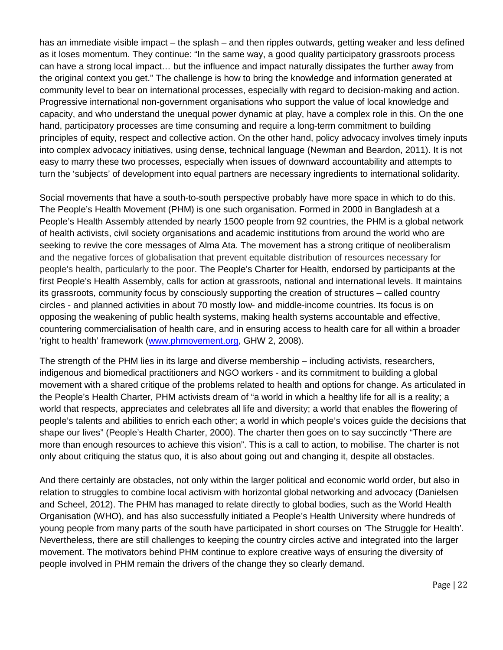has an immediate visible impact – the splash – and then ripples outwards, getting weaker and less defined as it loses momentum. They continue: "In the same way, a good quality participatory grassroots process can have a strong local impact… but the influence and impact naturally dissipates the further away from the original context you get." The challenge is how to bring the knowledge and information generated at community level to bear on international processes, especially with regard to decision-making and action. Progressive international non-government organisations who support the value of local knowledge and capacity, and who understand the unequal power dynamic at play, have a complex role in this. On the one hand, participatory processes are time consuming and require a long-term commitment to building principles of equity, respect and collective action. On the other hand, policy advocacy involves timely inputs into complex advocacy initiatives, using dense, technical language (Newman and Beardon, 2011). It is not easy to marry these two processes, especially when issues of downward accountability and attempts to turn the 'subjects' of development into equal partners are necessary ingredients to international solidarity.

Social movements that have a south-to-south perspective probably have more space in which to do this. The People's Health Movement (PHM) is one such organisation. Formed in 2000 in Bangladesh at a People's Health Assembly attended by nearly 1500 people from 92 countries, the PHM is a global network of health activists, civil society organisations and academic institutions from around the world who are seeking to revive the core messages of Alma Ata. The movement has a strong critique of neoliberalism and the negative forces of globalisation that prevent equitable distribution of resources necessary for people's health, particularly to the poor. The People's Charter for Health, endorsed by participants at the first People's Health Assembly, calls for action at grassroots, national and international levels. It maintains its grassroots, community focus by consciously supporting the creation of structures – called country circles - and planned activities in about 70 mostly low- and middle-income countries. Its focus is on opposing the weakening of public health systems, making health systems accountable and effective, countering commercialisation of health care, and in ensuring access to health care for all within a broader 'right to health' framework [\(www.phmovement.org,](http://www.phmovement.org/) GHW 2, 2008).

The strength of the PHM lies in its large and diverse membership – including activists, researchers, indigenous and biomedical practitioners and NGO workers - and its commitment to building a global movement with a shared critique of the problems related to health and options for change. As articulated in the People's Health Charter, PHM activists dream of "a world in which a healthy life for all is a reality; a world that respects, appreciates and celebrates all life and diversity; a world that enables the flowering of people's talents and abilities to enrich each other; a world in which people's voices guide the decisions that shape our lives" (People's Health Charter, 2000). The charter then goes on to say succinctly "There are more than enough resources to achieve this vision". This is a call to action, to mobilise. The charter is not only about critiquing the status quo, it is also about going out and changing it, despite all obstacles.

And there certainly are obstacles, not only within the larger political and economic world order, but also in relation to struggles to combine local activism with horizontal global networking and advocacy (Danielsen and Scheel, 2012). The PHM has managed to relate directly to global bodies, such as the World Health Organisation (WHO), and has also successfully initiated a People's Health University where hundreds of young people from many parts of the south have participated in short courses on 'The Struggle for Health'. Nevertheless, there are still challenges to keeping the country circles active and integrated into the larger movement. The motivators behind PHM continue to explore creative ways of ensuring the diversity of people involved in PHM remain the drivers of the change they so clearly demand.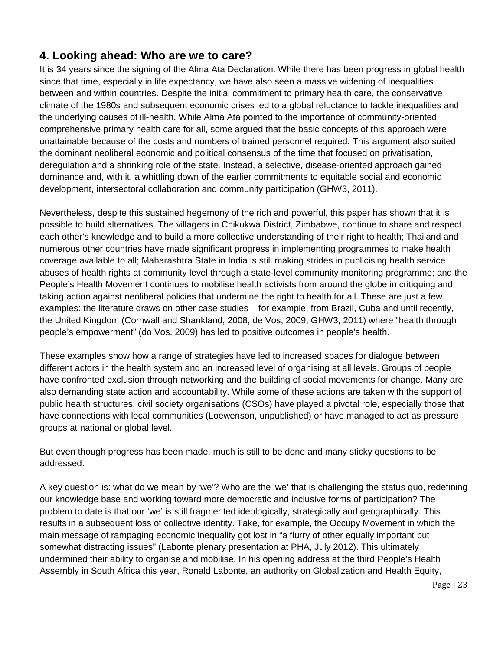## <span id="page-22-0"></span>**4. Looking ahead: Who are we to care?**

It is 34 years since the signing of the Alma Ata Declaration. While there has been progress in global health since that time, especially in life expectancy, we have also seen a massive widening of inequalities between and within countries. Despite the initial commitment to primary health care, the conservative climate of the 1980s and subsequent economic crises led to a global reluctance to tackle inequalities and the underlying causes of ill-health. While Alma Ata pointed to the importance of community-oriented comprehensive primary health care for all, some argued that the basic concepts of this approach were unattainable because of the costs and numbers of trained personnel required. This argument also suited the dominant neoliberal economic and political consensus of the time that focused on privatisation, deregulation and a shrinking role of the state. Instead, a selective, disease-oriented approach gained dominance and, with it, a whittling down of the earlier commitments to equitable social and economic development, intersectoral collaboration and community participation (GHW3, 2011).

Nevertheless, despite this sustained hegemony of the rich and powerful, this paper has shown that it is possible to build alternatives. The villagers in Chikukwa District, Zimbabwe, continue to share and respect each other's knowledge and to build a more collective understanding of their right to health; Thailand and numerous other countries have made significant progress in implementing programmes to make health coverage available to all; Maharashtra State in India is still making strides in publicising health service abuses of health rights at community level through a state-level community monitoring programme; and the People's Health Movement continues to mobilise health activists from around the globe in critiquing and taking action against neoliberal policies that undermine the right to health for all. These are just a few examples: the literature draws on other case studies – for example, from Brazil, Cuba and until recently, the United Kingdom (Cornwall and Shankland, 2008; de Vos, 2009; GHW3, 2011) where "health through people's empowerment" (do Vos, 2009) has led to positive outcomes in people's health.

These examples show how a range of strategies have led to increased spaces for dialogue between different actors in the health system and an increased level of organising at all levels. Groups of people have confronted exclusion through networking and the building of social movements for change. Many are also demanding state action and accountability. While some of these actions are taken with the support of public health structures, civil society organisations (CSOs) have played a pivotal role, especially those that have connections with local communities (Loewenson, unpublished) or have managed to act as pressure groups at national or global level.

But even though progress has been made, much is still to be done and many sticky questions to be addressed.

A key question is: what do we mean by 'we'? Who are the 'we' that is challenging the status quo, redefining our knowledge base and working toward more democratic and inclusive forms of participation? The problem to date is that our 'we' is still fragmented ideologically, strategically and geographically. This results in a subsequent loss of collective identity. Take, for example, the Occupy Movement in which the main message of rampaging economic inequality got lost in "a flurry of other equally important but somewhat distracting issues" (Labonte plenary presentation at PHA, July 2012). This ultimately undermined their ability to organise and mobilise. In his opening address at the third People's Health Assembly in South Africa this year, Ronald Labonte, an authority on Globalization and Health Equity,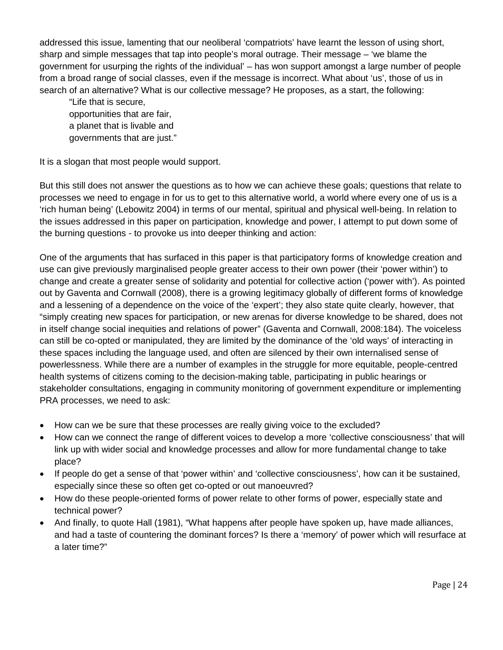addressed this issue, lamenting that our neoliberal 'compatriots' have learnt the lesson of using short, sharp and simple messages that tap into people's moral outrage. Their message – 'we blame the government for usurping the rights of the individual' – has won support amongst a large number of people from a broad range of social classes, even if the message is incorrect. What about 'us', those of us in search of an alternative? What is our collective message? He proposes, as a start, the following:

"Life that is secure, opportunities that are fair, a planet that is livable and governments that are just."

It is a slogan that most people would support.

But this still does not answer the questions as to how we can achieve these goals; questions that relate to processes we need to engage in for us to get to this alternative world, a world where every one of us is a 'rich human being' (Lebowitz 2004) in terms of our mental, spiritual and physical well-being. In relation to the issues addressed in this paper on participation, knowledge and power, I attempt to put down some of the burning questions - to provoke us into deeper thinking and action:

One of the arguments that has surfaced in this paper is that participatory forms of knowledge creation and use can give previously marginalised people greater access to their own power (their 'power within') to change and create a greater sense of solidarity and potential for collective action ('power with'). As pointed out by Gaventa and Cornwall (2008), there is a growing legitimacy globally of different forms of knowledge and a lessening of a dependence on the voice of the 'expert'; they also state quite clearly, however, that "simply creating new spaces for participation, or new arenas for diverse knowledge to be shared, does not in itself change social inequities and relations of power" (Gaventa and Cornwall, 2008:184). The voiceless can still be co-opted or manipulated, they are limited by the dominance of the 'old ways' of interacting in these spaces including the language used, and often are silenced by their own internalised sense of powerlessness. While there are a number of examples in the struggle for more equitable, people-centred health systems of citizens coming to the decision-making table, participating in public hearings or stakeholder consultations, engaging in community monitoring of government expenditure or implementing PRA processes, we need to ask:

- How can we be sure that these processes are really giving voice to the excluded?
- How can we connect the range of different voices to develop a more 'collective consciousness' that will link up with wider social and knowledge processes and allow for more fundamental change to take place?
- If people do get a sense of that 'power within' and 'collective consciousness', how can it be sustained, especially since these so often get co-opted or out manoeuvred?
- How do these people-oriented forms of power relate to other forms of power, especially state and technical power?
- And finally, to quote Hall (1981), "What happens after people have spoken up, have made alliances, and had a taste of countering the dominant forces? Is there a 'memory' of power which will resurface at a later time?"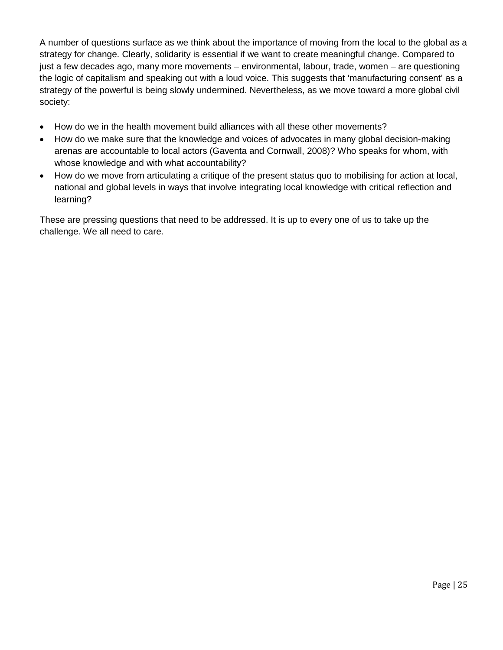A number of questions surface as we think about the importance of moving from the local to the global as a strategy for change. Clearly, solidarity is essential if we want to create meaningful change. Compared to just a few decades ago, many more movements – environmental, labour, trade, women – are questioning the logic of capitalism and speaking out with a loud voice. This suggests that 'manufacturing consent' as a strategy of the powerful is being slowly undermined. Nevertheless, as we move toward a more global civil society:

- How do we in the health movement build alliances with all these other movements?
- How do we make sure that the knowledge and voices of advocates in many global decision-making arenas are accountable to local actors (Gaventa and Cornwall, 2008)? Who speaks for whom, with whose knowledge and with what accountability?
- How do we move from articulating a critique of the present status quo to mobilising for action at local, national and global levels in ways that involve integrating local knowledge with critical reflection and learning?

These are pressing questions that need to be addressed. It is up to every one of us to take up the challenge. We all need to care.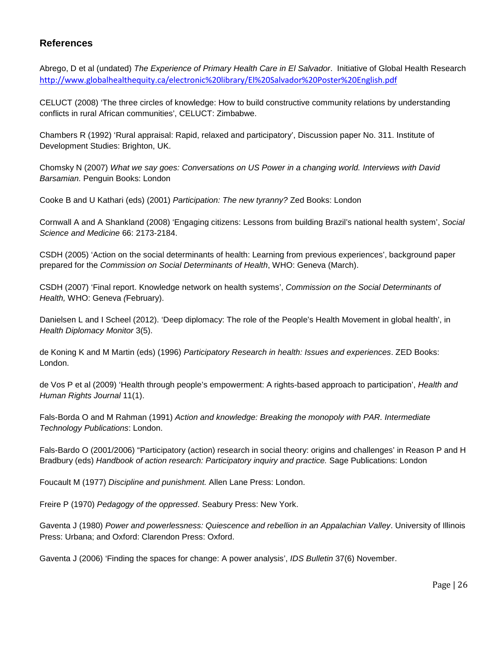#### <span id="page-25-0"></span>**References**

Abrego, D et al (undated) *The Experience of Primary Health Care in El Salvador*. Initiative of Global Health Research <http://www.globalhealthequity.ca/electronic%20library/El%20Salvador%20Poster%20English.pdf>

CELUCT (2008) 'The three circles of knowledge: How to build constructive community relations by understanding conflicts in rural African communities', CELUCT: Zimbabwe.

Chambers R (1992) 'Rural appraisal: Rapid, relaxed and participatory', Discussion paper No. 311. Institute of Development Studies: Brighton, UK.

Chomsky N (2007) *What we say goes: Conversations on US Power in a changing world. Interviews with David Barsamian.* Penguin Books: London

Cooke B and U Kathari (eds) (2001) *Participation: The new tyranny?* Zed Books: London

Cornwall A and A Shankland (2008) 'Engaging citizens: Lessons from building Brazil's national health system', *Social Science and Medicine* 66: 2173-2184.

CSDH (2005) 'Action on the social determinants of health: Learning from previous experiences', background paper prepared for the *Commission on Social Determinants of Health*, WHO: Geneva (March).

CSDH (2007) 'Final report. Knowledge network on health systems', *Commission on the Social Determinants of Health,* WHO: Geneva *(*February).

Danielsen L and I Scheel (2012). 'Deep diplomacy: The role of the People's Health Movement in global health', in *Health Diplomacy Monitor* 3(5).

de Koning K and M Martin (eds) (1996) *Participatory Research in health: Issues and experiences*. ZED Books: London.

de Vos P et al (2009) 'Health through people's empowerment: A rights-based approach to participation', *Health and Human Rights Journal* 11(1).

Fals-Borda O and M Rahman (1991) *Action and knowledge: Breaking the monopoly with PAR. Intermediate Technology Publications*: London.

Fals-Bardo O (2001/2006) "Participatory (action) research in social theory: origins and challenges' in Reason P and H Bradbury (eds) *Handbook of action research: Participatory inquiry and practice.* Sage Publications: London

Foucault M (1977) *Discipline and punishment.* Allen Lane Press: London.

Freire P (1970) *Pedagogy of the oppressed*. Seabury Press: New York.

Gaventa J (1980) *Power and powerlessness: Quiescence and rebellion in an Appalachian Valley*. University of Illinois Press: Urbana; and Oxford: Clarendon Press: Oxford.

Gaventa J (2006) 'Finding the spaces for change: A power analysis', *IDS Bulletin* 37(6) November.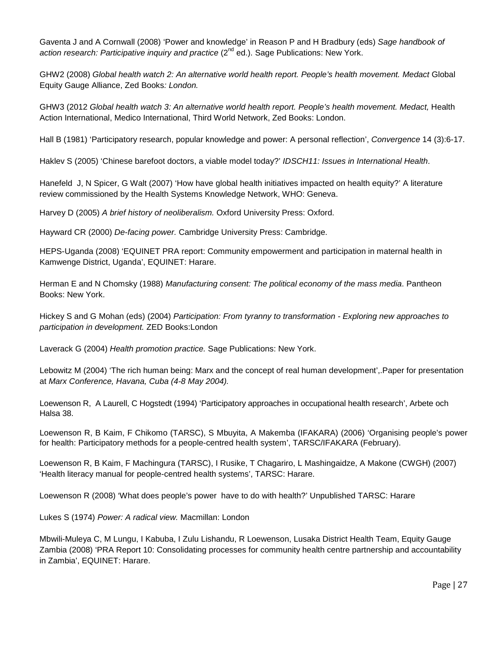Gaventa J and A Cornwall (2008) 'Power and knowledge' in Reason P and H Bradbury (eds) *Sage handbook of action research: Participative inquiry and practice* (2<sup>nd</sup> ed.). Sage Publications: New York.

GHW2 (2008) *Global health watch 2: An alternative world health report. People's health movement. Medact* Global Equity Gauge Alliance, Zed Books*: London.*

GHW3 (2012 *Global health watch 3: An alternative world health report. People's health movement. Medact,* Health Action International, Medico International, Third World Network, Zed Books: London.

Hall B (1981) 'Participatory research, popular knowledge and power: A personal reflection', *Convergence* 14 (3):6-17.

Haklev S (2005) 'Chinese barefoot doctors, a viable model today?' *IDSCH11: Issues in International Health*.

Hanefeld J, N Spicer, G Walt (2007) 'How have global health initiatives impacted on health equity?' A literature review commissioned by the Health Systems Knowledge Network, WHO: Geneva.

Harvey D (2005) *A brief history of neoliberalism.* Oxford University Press: Oxford.

Hayward CR (2000) *De-facing power.* Cambridge University Press: Cambridge.

HEPS-Uganda (2008) 'EQUINET PRA report: Community empowerment and participation in maternal health in Kamwenge District, Uganda', EQUINET: Harare.

Herman E and N Chomsky (1988) *Manufacturing consent: The political economy of the mass media*. Pantheon Books: New York.

Hickey S and G Mohan (eds) (2004) *Participation: From tyranny to transformation - Exploring new approaches to participation in development.* ZED Books:London

Laverack G (2004) *Health promotion practice.* Sage Publications: New York.

Lebowitz M (2004) 'The rich human being: Marx and the concept of real human development',.Paper for presentation at *Marx Conference, Havana, Cuba (4-8 May 2004).*

Loewenson R, A Laurell, C Hogstedt (1994) 'Participatory approaches in occupational health research', Arbete och Halsa 38.

Loewenson R, B Kaim, F Chikomo (TARSC), S Mbuyita, A Makemba (IFAKARA) (2006) 'Organising people's power for health: Participatory methods for a people-centred health system', TARSC/IFAKARA (February).

Loewenson R, B Kaim, F Machingura (TARSC), I Rusike, T Chagariro, L Mashingaidze, A Makone (CWGH) (2007) 'Health literacy manual for people-centred health systems', TARSC: Harare.

Loewenson R (2008) 'What does people's power have to do with health?' Unpublished TARSC: Harare

Lukes S (1974) *Power: A radical view.* Macmillan: London

Mbwili-Muleya C, M Lungu, I Kabuba, I Zulu Lishandu, R Loewenson, Lusaka District Health Team, Equity Gauge Zambia (2008) 'PRA Report 10: Consolidating processes for community health centre partnership and accountability in Zambia', EQUINET: Harare.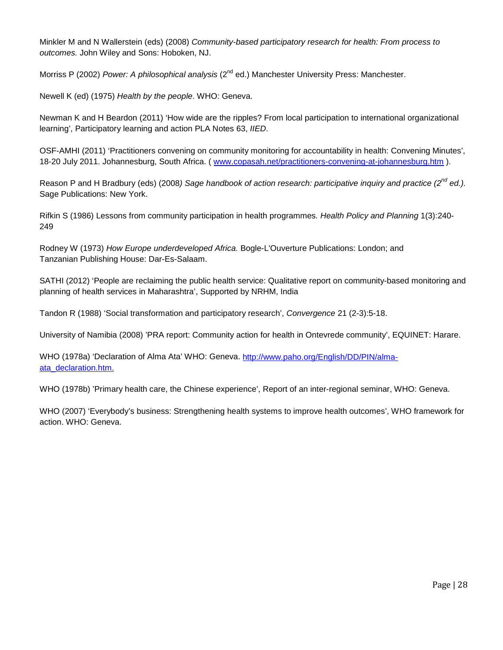Minkler M and N Wallerstein (eds) (2008) *Community-based participatory research for health: From process to outcomes.* John Wiley and Sons: Hoboken, NJ.

Morriss P (2002) *Power: A philosophical analysis* (2<sup>nd</sup> ed.) Manchester University Press: Manchester.

Newell K (ed) (1975) *Health by the people*. WHO: Geneva.

Newman K and H Beardon (2011) 'How wide are the ripples? From local participation to international organizational learning', Participatory learning and action PLA Notes 63, *IIED*.

OSF-AMHI (2011) 'Practitioners convening on community monitoring for accountability in health: Convening Minutes', 18-20 July 2011. Johannesburg, South Africa. (www.copasah.net/practitioners-convening-at-johannesburg.htm).

Reason P and H Bradbury (eds) (2008*) Sage handbook of action research: participative inquiry and practice (2nd ed.).* Sage Publications: New York.

Rifkin S (1986) Lessons from community participation in health programmes*. Health Policy and Planning* 1(3):240- 249

Rodney W (1973) *How Europe underdeveloped Africa.* Bogle-L'Ouverture Publications: London; and Tanzanian Publishing House: Dar-Es-Salaam.

SATHI (2012) 'People are reclaiming the public health service: Qualitative report on community-based monitoring and planning of health services in Maharashtra', Supported by NRHM, India

Tandon R (1988) 'Social transformation and participatory research', *Convergence* 21 (2-3):5-18.

University of Namibia (2008) 'PRA report: Community action for health in Ontevrede community', EQUINET: Harare.

WHO (1978a) 'Declaration of Alma Ata' WHO: Geneva. [http://www.paho.org/English/DD/PIN/alma](http://www.paho.org/English/DD/PIN/alma-ata_declaration.htm)[ata\\_declaration.htm.](http://www.paho.org/English/DD/PIN/alma-ata_declaration.htm)

WHO (1978b) 'Primary health care, the Chinese experience', Report of an inter-regional seminar, WHO: Geneva.

WHO (2007) 'Everybody's business: Strengthening health systems to improve health outcomes', WHO framework for action. WHO: Geneva.